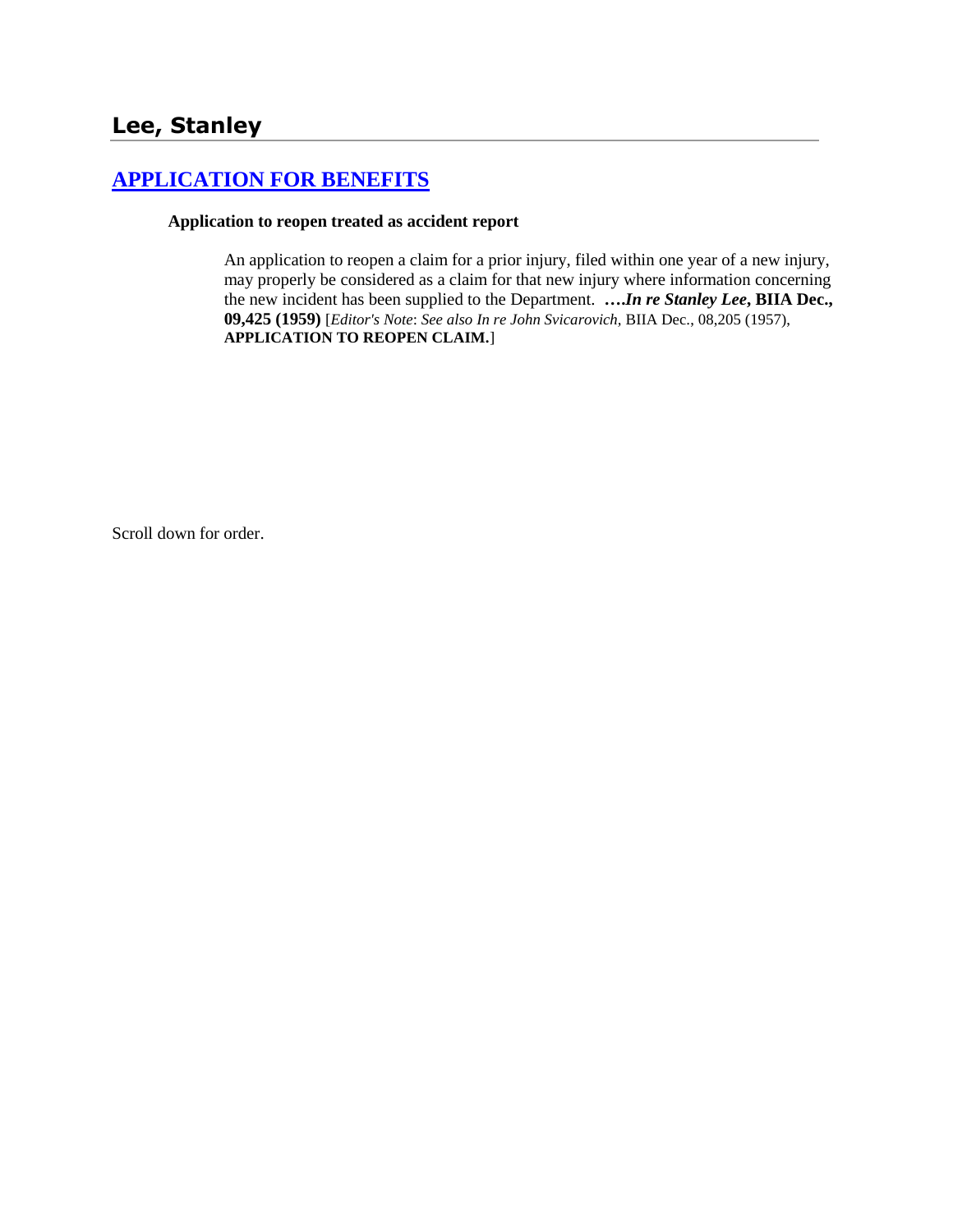# **[APPLICATION FOR BENEFITS](http://www.biia.wa.gov/SDSubjectIndex.html#APPLICATION_FOR_BENEFITS)**

#### **Application to reopen treated as accident report**

An application to reopen a claim for a prior injury, filed within one year of a new injury, may properly be considered as a claim for that new injury where information concerning the new incident has been supplied to the Department. **….***In re Stanley Lee***, BIIA Dec., 09,425 (1959)** [*Editor's Note*: *See also In re John Svicarovich,* BIIA Dec., 08,205 (1957), **APPLICATION TO REOPEN CLAIM.**]

Scroll down for order.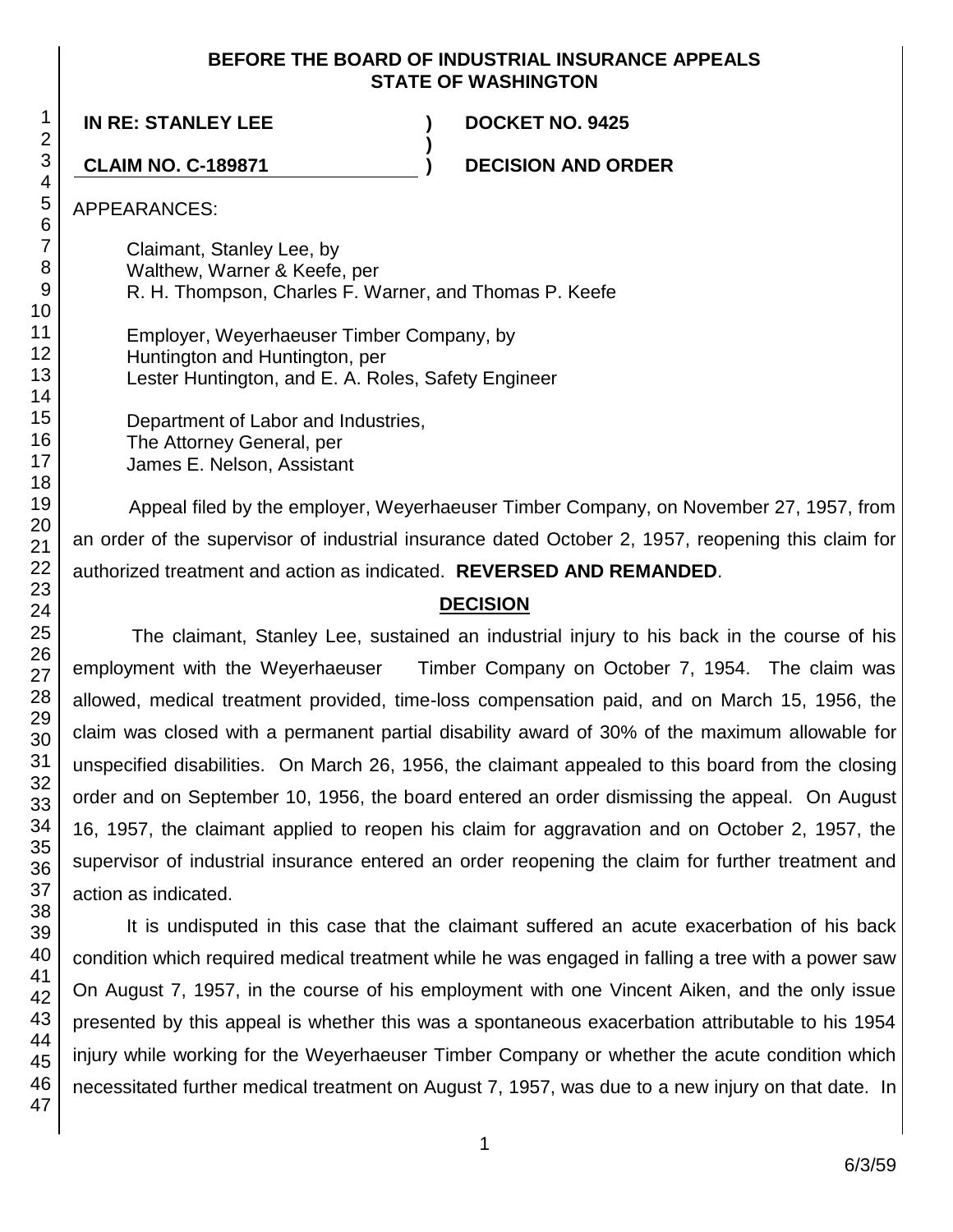### **BEFORE THE BOARD OF INDUSTRIAL INSURANCE APPEALS STATE OF WASHINGTON**

**)**

**IN RE: STANLEY LEE ) DOCKET NO. 9425**

**CLAIM NO. C-189871 ) DECISION AND ORDER**

APPEARANCES:

Claimant, Stanley Lee, by Walthew, Warner & Keefe, per R. H. Thompson, Charles F. Warner, and Thomas P. Keefe

Employer, Weyerhaeuser Timber Company, by Huntington and Huntington, per Lester Huntington, and E. A. Roles, Safety Engineer

Department of Labor and Industries, The Attorney General, per James E. Nelson, Assistant

Appeal filed by the employer, Weyerhaeuser Timber Company, on November 27, 1957, from an order of the supervisor of industrial insurance dated October 2, 1957, reopening this claim for authorized treatment and action as indicated. **REVERSED AND REMANDED**.

# **DECISION**

The claimant, Stanley Lee, sustained an industrial injury to his back in the course of his employment with the Weyerhaeuser Timber Company on October 7, 1954. The claim was allowed, medical treatment provided, time-loss compensation paid, and on March 15, 1956, the claim was closed with a permanent partial disability award of 30% of the maximum allowable for unspecified disabilities. On March 26, 1956, the claimant appealed to this board from the closing order and on September 10, 1956, the board entered an order dismissing the appeal. On August 16, 1957, the claimant applied to reopen his claim for aggravation and on October 2, 1957, the supervisor of industrial insurance entered an order reopening the claim for further treatment and action as indicated.

It is undisputed in this case that the claimant suffered an acute exacerbation of his back condition which required medical treatment while he was engaged in falling a tree with a power saw On August 7, 1957, in the course of his employment with one Vincent Aiken, and the only issue presented by this appeal is whether this was a spontaneous exacerbation attributable to his 1954 injury while working for the Weyerhaeuser Timber Company or whether the acute condition which necessitated further medical treatment on August 7, 1957, was due to a new injury on that date. In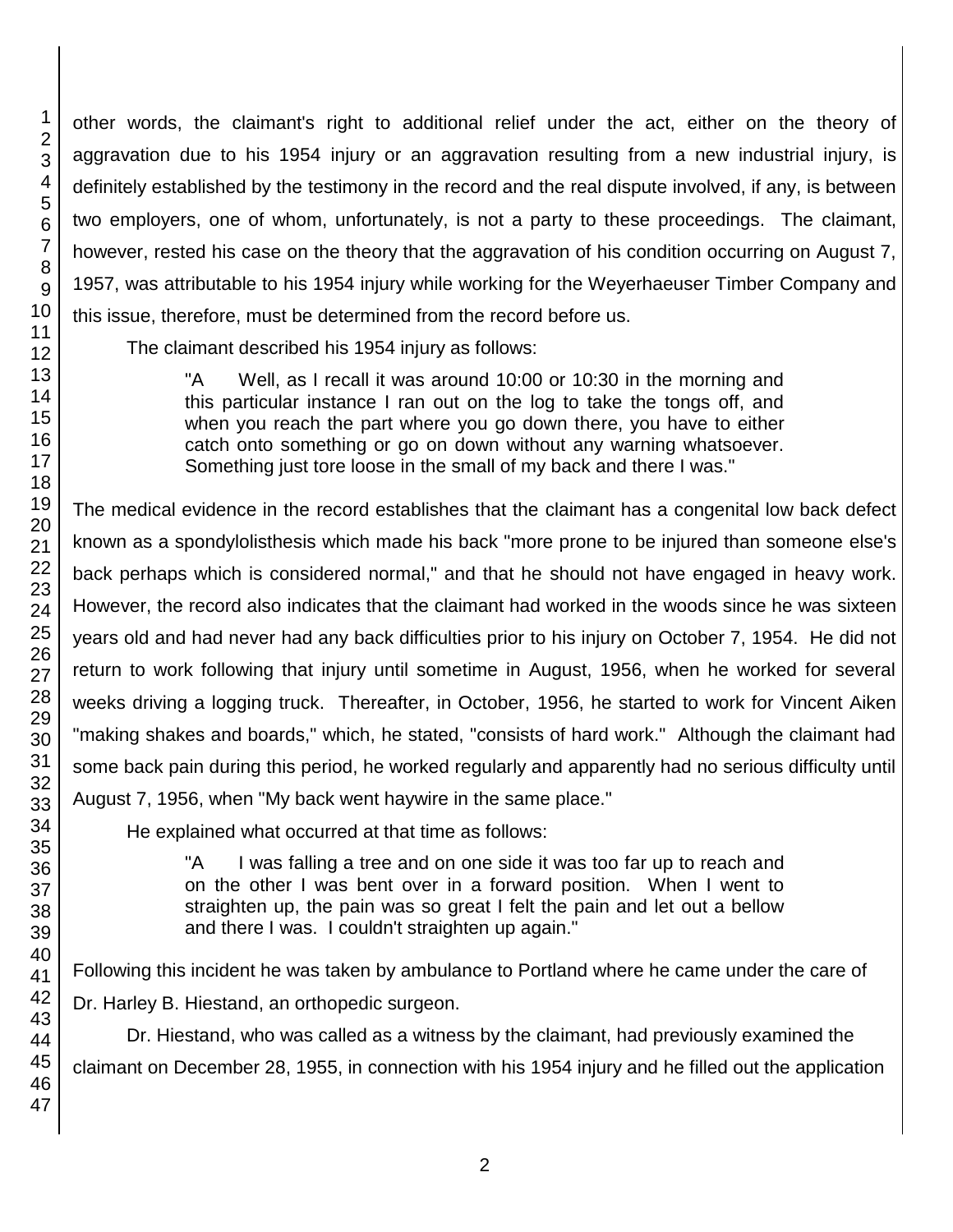other words, the claimant's right to additional relief under the act, either on the theory of aggravation due to his 1954 injury or an aggravation resulting from a new industrial injury, is definitely established by the testimony in the record and the real dispute involved, if any, is between two employers, one of whom, unfortunately, is not a party to these proceedings. The claimant, however, rested his case on the theory that the aggravation of his condition occurring on August 7, 1957, was attributable to his 1954 injury while working for the Weyerhaeuser Timber Company and this issue, therefore, must be determined from the record before us.

The claimant described his 1954 injury as follows:

"A Well, as I recall it was around 10:00 or 10:30 in the morning and this particular instance I ran out on the log to take the tongs off, and when you reach the part where you go down there, you have to either catch onto something or go on down without any warning whatsoever. Something just tore loose in the small of my back and there I was."

The medical evidence in the record establishes that the claimant has a congenital low back defect known as a spondylolisthesis which made his back "more prone to be injured than someone else's back perhaps which is considered normal," and that he should not have engaged in heavy work. However, the record also indicates that the claimant had worked in the woods since he was sixteen years old and had never had any back difficulties prior to his injury on October 7, 1954. He did not return to work following that injury until sometime in August, 1956, when he worked for several weeks driving a logging truck. Thereafter, in October, 1956, he started to work for Vincent Aiken "making shakes and boards," which, he stated, "consists of hard work." Although the claimant had some back pain during this period, he worked regularly and apparently had no serious difficulty until August 7, 1956, when "My back went haywire in the same place."

He explained what occurred at that time as follows:

"A I was falling a tree and on one side it was too far up to reach and on the other I was bent over in a forward position. When I went to straighten up, the pain was so great I felt the pain and let out a bellow and there I was. I couldn't straighten up again."

Following this incident he was taken by ambulance to Portland where he came under the care of Dr. Harley B. Hiestand, an orthopedic surgeon.

Dr. Hiestand, who was called as a witness by the claimant, had previously examined the claimant on December 28, 1955, in connection with his 1954 injury and he filled out the application

1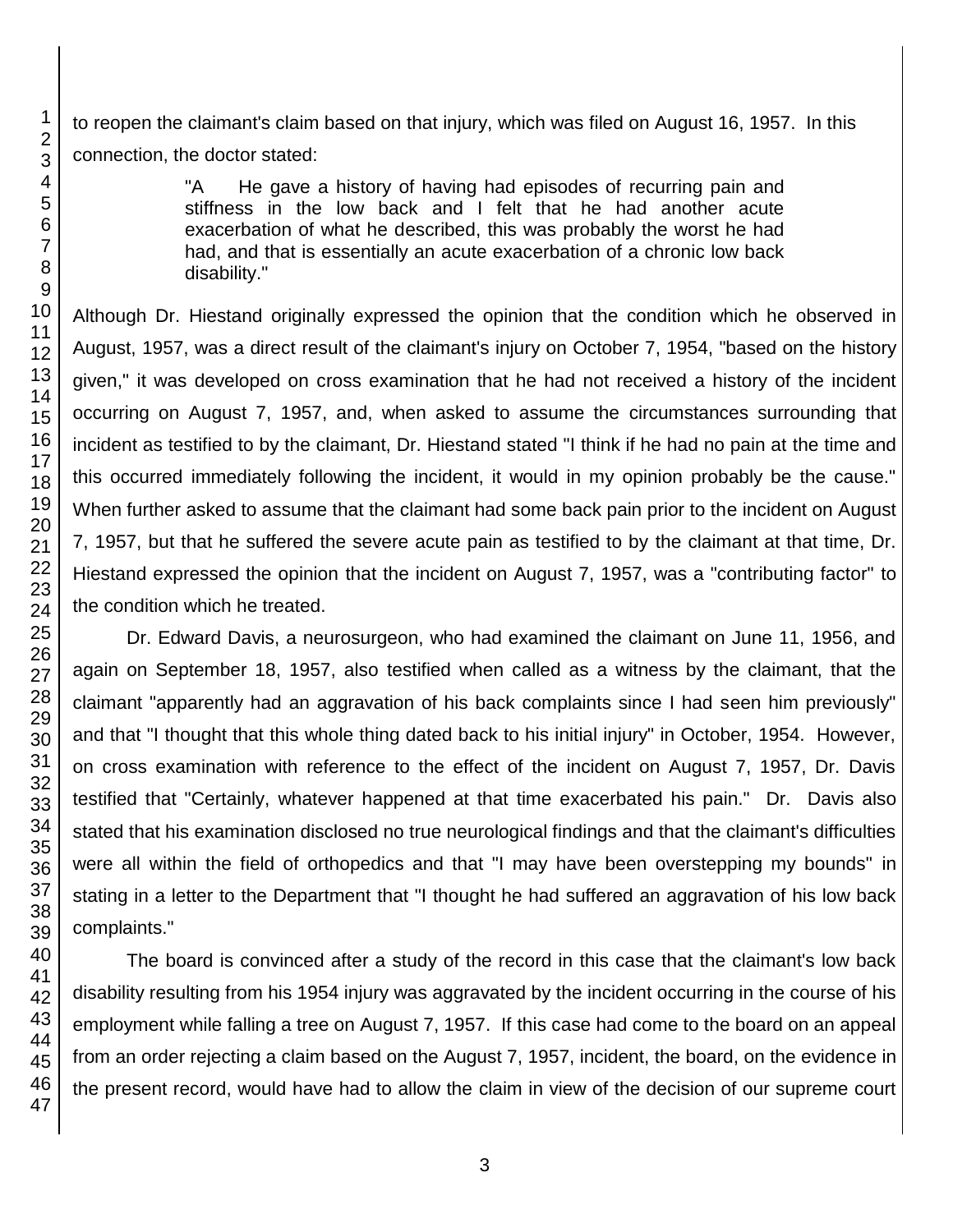to reopen the claimant's claim based on that injury, which was filed on August 16, 1957. In this connection, the doctor stated:

> "A He gave a history of having had episodes of recurring pain and stiffness in the low back and I felt that he had another acute exacerbation of what he described, this was probably the worst he had had, and that is essentially an acute exacerbation of a chronic low back disability."

Although Dr. Hiestand originally expressed the opinion that the condition which he observed in August, 1957, was a direct result of the claimant's injury on October 7, 1954, "based on the history given," it was developed on cross examination that he had not received a history of the incident occurring on August 7, 1957, and, when asked to assume the circumstances surrounding that incident as testified to by the claimant, Dr. Hiestand stated "I think if he had no pain at the time and this occurred immediately following the incident, it would in my opinion probably be the cause." When further asked to assume that the claimant had some back pain prior to the incident on August 7, 1957, but that he suffered the severe acute pain as testified to by the claimant at that time, Dr. Hiestand expressed the opinion that the incident on August 7, 1957, was a "contributing factor" to the condition which he treated.

Dr. Edward Davis, a neurosurgeon, who had examined the claimant on June 11, 1956, and again on September 18, 1957, also testified when called as a witness by the claimant, that the claimant "apparently had an aggravation of his back complaints since I had seen him previously" and that "I thought that this whole thing dated back to his initial injury" in October, 1954. However, on cross examination with reference to the effect of the incident on August 7, 1957, Dr. Davis testified that "Certainly, whatever happened at that time exacerbated his pain." Dr. Davis also stated that his examination disclosed no true neurological findings and that the claimant's difficulties were all within the field of orthopedics and that "I may have been overstepping my bounds" in stating in a letter to the Department that "I thought he had suffered an aggravation of his low back complaints."

The board is convinced after a study of the record in this case that the claimant's low back disability resulting from his 1954 injury was aggravated by the incident occurring in the course of his employment while falling a tree on August 7, 1957. If this case had come to the board on an appeal from an order rejecting a claim based on the August 7, 1957, incident, the board, on the evidence in the present record, would have had to allow the claim in view of the decision of our supreme court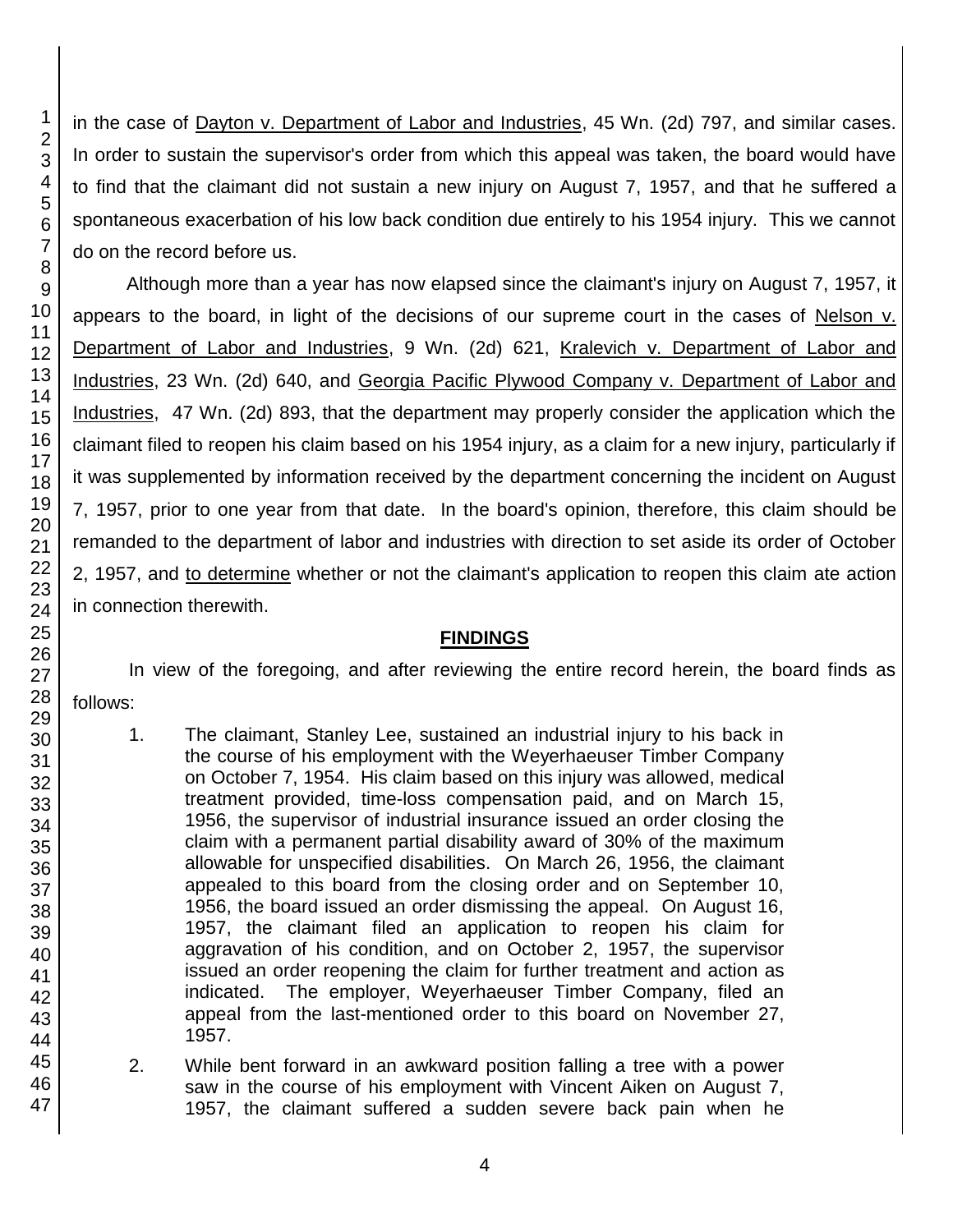in the case of Dayton v. Department of Labor and Industries, 45 Wn. (2d) 797, and similar cases. In order to sustain the supervisor's order from which this appeal was taken, the board would have to find that the claimant did not sustain a new injury on August 7, 1957, and that he suffered a spontaneous exacerbation of his low back condition due entirely to his 1954 injury. This we cannot do on the record before us.

Although more than a year has now elapsed since the claimant's injury on August 7, 1957, it appears to the board, in light of the decisions of our supreme court in the cases of Nelson v. Department of Labor and Industries, 9 Wn. (2d) 621, Kralevich v. Department of Labor and Industries, 23 Wn. (2d) 640, and Georgia Pacific Plywood Company v. Department of Labor and Industries, 47 Wn. (2d) 893, that the department may properly consider the application which the claimant filed to reopen his claim based on his 1954 injury, as a claim for a new injury, particularly if it was supplemented by information received by the department concerning the incident on August 7, 1957, prior to one year from that date. In the board's opinion, therefore, this claim should be remanded to the department of labor and industries with direction to set aside its order of October 2, 1957, and to determine whether or not the claimant's application to reopen this claim ate action in connection therewith.

# **FINDINGS**

In view of the foregoing, and after reviewing the entire record herein, the board finds as

- follows:
	- 1. The claimant, Stanley Lee, sustained an industrial injury to his back in the course of his employment with the Weyerhaeuser Timber Company on October 7, 1954. His claim based on this injury was allowed, medical treatment provided, time-loss compensation paid, and on March 15, 1956, the supervisor of industrial insurance issued an order closing the claim with a permanent partial disability award of 30% of the maximum allowable for unspecified disabilities. On March 26, 1956, the claimant appealed to this board from the closing order and on September 10, 1956, the board issued an order dismissing the appeal. On August 16, 1957, the claimant filed an application to reopen his claim for aggravation of his condition, and on October 2, 1957, the supervisor issued an order reopening the claim for further treatment and action as indicated. The employer, Weyerhaeuser Timber Company, filed an appeal from the last-mentioned order to this board on November 27, 1957.
	- 2. While bent forward in an awkward position falling a tree with a power saw in the course of his employment with Vincent Aiken on August 7, 1957, the claimant suffered a sudden severe back pain when he